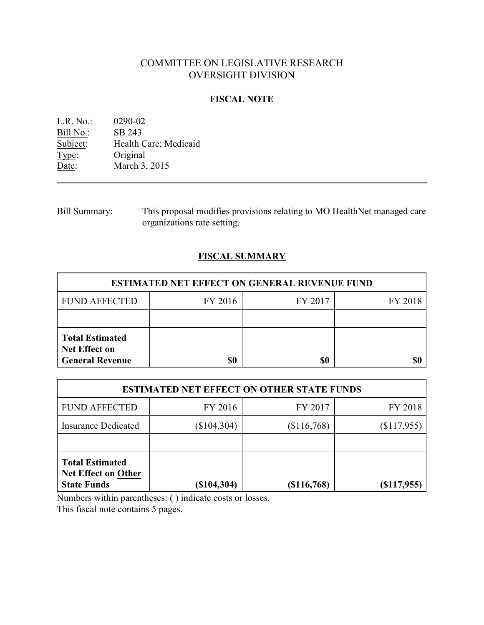# COMMITTEE ON LEGISLATIVE RESEARCH OVERSIGHT DIVISION

## **FISCAL NOTE**

| L.R. No.: | 0290-02               |
|-----------|-----------------------|
| Bill No.: | SB 243                |
| Subject:  | Health Care; Medicaid |
| Type:     | Original              |
| Date:     | March 3, 2015         |

Bill Summary: This proposal modifies provisions relating to MO HealthNet managed care organizations rate setting.

# **FISCAL SUMMARY**

| <b>ESTIMATED NET EFFECT ON GENERAL REVENUE FUND</b>                      |         |         |         |  |
|--------------------------------------------------------------------------|---------|---------|---------|--|
| <b>FUND AFFECTED</b>                                                     | FY 2016 | FY 2017 | FY 2018 |  |
|                                                                          |         |         |         |  |
| <b>Total Estimated</b><br><b>Net Effect on</b><br><b>General Revenue</b> | \$0     | \$0     |         |  |

| <b>ESTIMATED NET EFFECT ON OTHER STATE FUNDS</b>                           |               |             |                |  |
|----------------------------------------------------------------------------|---------------|-------------|----------------|--|
| <b>FUND AFFECTED</b>                                                       | FY 2016       | FY 2017     | FY 2018        |  |
| <b>Insurance Dedicated</b>                                                 | $(\$104,304)$ | (\$116,768) | (\$117,955)    |  |
|                                                                            |               |             |                |  |
| <b>Total Estimated</b><br><b>Net Effect on Other</b><br><b>State Funds</b> | (\$104,304)   | (\$116,768) | $($ \$117,955) |  |

Numbers within parentheses: ( ) indicate costs or losses.

This fiscal note contains 5 pages.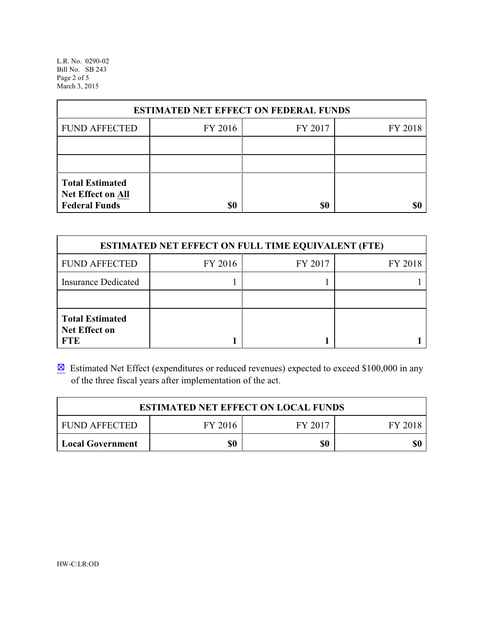L.R. No. 0290-02 Bill No. SB 243 Page 2 of 5 March 3, 2015

| <b>ESTIMATED NET EFFECT ON FEDERAL FUNDS</b>                        |         |         |         |  |
|---------------------------------------------------------------------|---------|---------|---------|--|
| <b>FUND AFFECTED</b>                                                | FY 2016 | FY 2017 | FY 2018 |  |
|                                                                     |         |         |         |  |
|                                                                     |         |         |         |  |
| <b>Total Estimated</b><br>Net Effect on All<br><b>Federal Funds</b> | \$0     | \$0     |         |  |

| <b>ESTIMATED NET EFFECT ON FULL TIME EQUIVALENT (FTE)</b>    |         |         |         |  |
|--------------------------------------------------------------|---------|---------|---------|--|
| <b>FUND AFFECTED</b>                                         | FY 2016 | FY 2017 | FY 2018 |  |
| <b>Insurance Dedicated</b>                                   |         |         |         |  |
|                                                              |         |         |         |  |
| <b>Total Estimated</b><br><b>Net Effect on</b><br><b>FTE</b> |         |         |         |  |

 $\boxtimes$  Estimated Net Effect (expenditures or reduced revenues) expected to exceed \$100,000 in any of the three fiscal years after implementation of the act.

| <b>ESTIMATED NET EFFECT ON LOCAL FUNDS</b>            |  |  |  |  |
|-------------------------------------------------------|--|--|--|--|
| FY 2016<br>FY 2017<br><b>FUND AFFECTED</b><br>FY 2018 |  |  |  |  |
| \$0<br>\$0<br><b>Local Government</b>                 |  |  |  |  |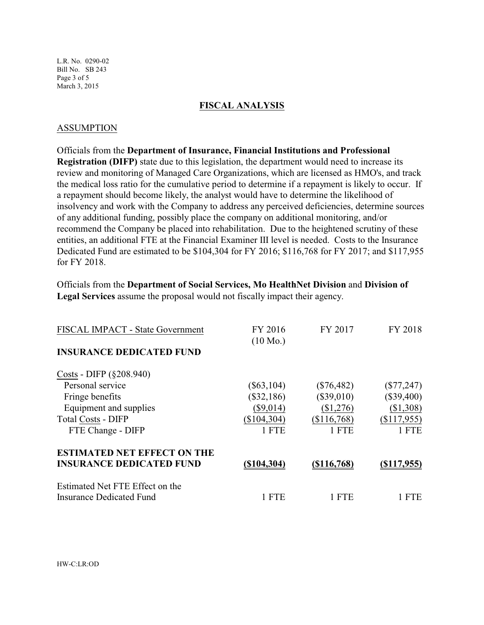L.R. No. 0290-02 Bill No. SB 243 Page 3 of 5 March 3, 2015

#### **FISCAL ANALYSIS**

### ASSUMPTION

Officials from the **Department of Insurance, Financial Institutions and Professional Registration (DIFP)** state due to this legislation, the department would need to increase its review and monitoring of Managed Care Organizations, which are licensed as HMO's, and track the medical loss ratio for the cumulative period to determine if a repayment is likely to occur. If a repayment should become likely, the analyst would have to determine the likelihood of insolvency and work with the Company to address any perceived deficiencies, determine sources of any additional funding, possibly place the company on additional monitoring, and/or recommend the Company be placed into rehabilitation. Due to the heightened scrutiny of these entities, an additional FTE at the Financial Examiner III level is needed. Costs to the Insurance Dedicated Fund are estimated to be \$104,304 for FY 2016; \$116,768 for FY 2017; and \$117,955 for FY 2018.

Officials from the **Department of Social Services, Mo HealthNet Division** and **Division of Legal Services** assume the proposal would not fiscally impact their agency.

| FISCAL IMPACT - State Government   | FY 2016<br>$(10 \text{ Mo.})$ | FY 2017       | FY 2018      |
|------------------------------------|-------------------------------|---------------|--------------|
| <b>INSURANCE DEDICATED FUND</b>    |                               |               |              |
| Costs - DIFP (§208.940)            |                               |               |              |
| Personal service                   | $(\$63,104)$                  | $(\$76,482)$  | $(\$77,247)$ |
| Fringe benefits                    | $(\$32,186)$                  | $(\$39,010)$  | $(\$39,400)$ |
| Equipment and supplies             | $(\$9,014)$                   | (\$1,276)     | (\$1,308)    |
| <b>Total Costs - DIFP</b>          | (\$104,304)                   | (\$116,768)   | (\$117,955)  |
| FTE Change - DIFP                  | 1 FTE                         | 1 FTE         | 1 FTE        |
| <b>ESTIMATED NET EFFECT ON THE</b> |                               |               |              |
| <b>INSURANCE DEDICATED FUND</b>    | (\$104,304)                   | $(\$116,768)$ | (S117, 955)  |
| Estimated Net FTE Effect on the    |                               |               |              |
| Insurance Dedicated Fund           | 1 FTE                         | L FTE         | <b>FTE</b>   |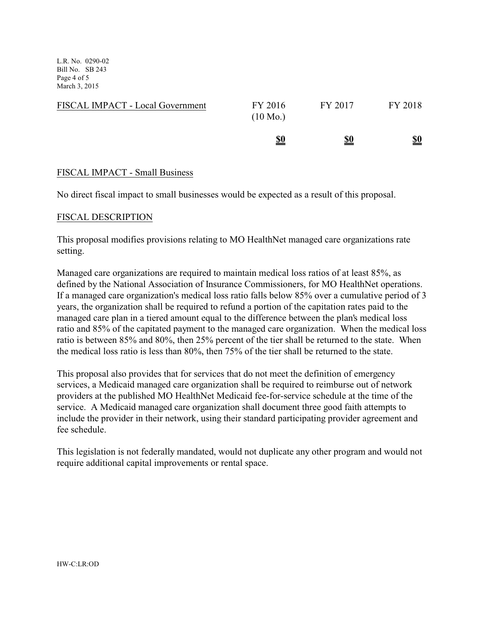L.R. No. 0290-02 Bill No. SB 243 Page 4 of 5 March 3, 2015

| FISCAL IMPACT - Local Government | FY 2016<br>$(10 \text{ Mo.})$ | FY 2017    | FY 2018    |
|----------------------------------|-------------------------------|------------|------------|
|                                  | <u>\$0</u>                    | <u>\$0</u> | <u>\$0</u> |

### FISCAL IMPACT - Small Business

No direct fiscal impact to small businesses would be expected as a result of this proposal.

### FISCAL DESCRIPTION

This proposal modifies provisions relating to MO HealthNet managed care organizations rate setting.

Managed care organizations are required to maintain medical loss ratios of at least 85%, as defined by the National Association of Insurance Commissioners, for MO HealthNet operations. If a managed care organization's medical loss ratio falls below 85% over a cumulative period of 3 years, the organization shall be required to refund a portion of the capitation rates paid to the managed care plan in a tiered amount equal to the difference between the plan's medical loss ratio and 85% of the capitated payment to the managed care organization. When the medical loss ratio is between 85% and 80%, then 25% percent of the tier shall be returned to the state. When the medical loss ratio is less than 80%, then 75% of the tier shall be returned to the state.

This proposal also provides that for services that do not meet the definition of emergency services, a Medicaid managed care organization shall be required to reimburse out of network providers at the published MO HealthNet Medicaid fee-for-service schedule at the time of the service. A Medicaid managed care organization shall document three good faith attempts to include the provider in their network, using their standard participating provider agreement and fee schedule.

This legislation is not federally mandated, would not duplicate any other program and would not require additional capital improvements or rental space.